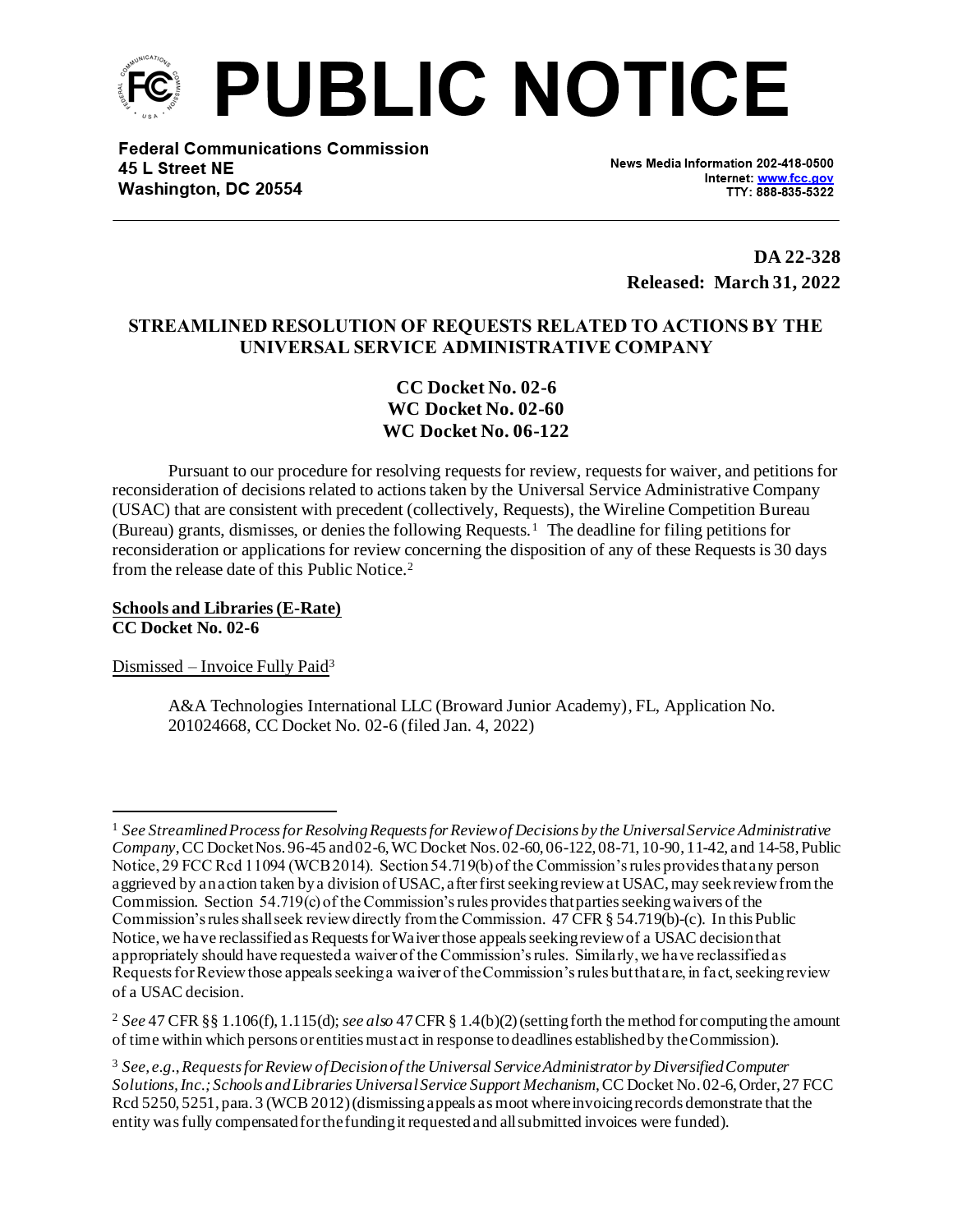

**Federal Communications Commission** 45 L Street NE Washington, DC 20554

News Media Information 202-418-0500 Internet: www.fcc.gov TTY: 888-835-5322

**DA 22-328 Released: March 31, 2022**

# **STREAMLINED RESOLUTION OF REQUESTS RELATED TO ACTIONS BY THE UNIVERSAL SERVICE ADMINISTRATIVE COMPANY**

**CC Docket No. 02-6 WC Docket No. 02-60 WC Docket No. 06-122**

Pursuant to our procedure for resolving requests for review, requests for waiver, and petitions for reconsideration of decisions related to actions taken by the Universal Service Administrative Company (USAC) that are consistent with precedent (collectively, Requests), the Wireline Competition Bureau (Bureau) grants, dismisses, or denies the following Requests. <sup>1</sup> The deadline for filing petitions for reconsideration or applications for review concerning the disposition of any of these Requests is 30 days from the release date of this Public Notice.<sup>2</sup>

**Schools and Libraries (E-Rate) CC Docket No. 02-6**

Dismissed – Invoice Fully Paid<sup>3</sup>

A&A Technologies International LLC (Broward Junior Academy), FL, Application No. 201024668, CC Docket No. 02-6 (filed Jan. 4, 2022)

<sup>1</sup> *See Streamlined Process for Resolving Requests for Review of Decisions by the Universal Service Administrative Company*, CC Docket Nos. 96-45 and 02-6, WC Docket Nos. 02-60, 06-122, 08-71, 10-90, 11-42, and 14-58, Public Notice, 29 FCC Rcd 11094 (WCB 2014). Section 54.719(b) of the Commission's rules providesthat any person aggrieved by an action taken by a division of USAC, after first seeking review at USAC, may seek review from the Commission. Section 54.719(c) of the Commission's rules provides that parties seeking waivers of the Commission's rules shall seek review directly from the Commission. 47 CFR § 54.719(b)-(c). In this Public Notice, we have reclassified as Requests for Waiver those appeals seeking review of a USAC decision that appropriately should have requested a waiver of the Commission's rules. Similarly, we have reclassified as Requests for Review those appeals seeking a waiver of the Commission's rules but that are, in fact, seeking review of a USAC decision.

<sup>2</sup> *See* 47 CFR §§ 1.106(f), 1.115(d); *see also* 47 CFR § 1.4(b)(2) (setting forth the method for computing the amount of time within which persons or entities must act in response to deadlines established by the Commission).

<sup>3</sup> *See, e.g.*,*Requests for Review of Decision of the Universal Service Administrator by Diversified Computer Solutions, Inc.; Schools and Libraries Universal Service Support Mechanism*, CC Docket No. 02-6, Order, 27 FCC Rcd 5250, 5251, para. 3 (WCB 2012) (dismissing appeals as moot where invoicing records demonstrate that the entity was fully compensated for the funding it requested and all submitted invoices were funded).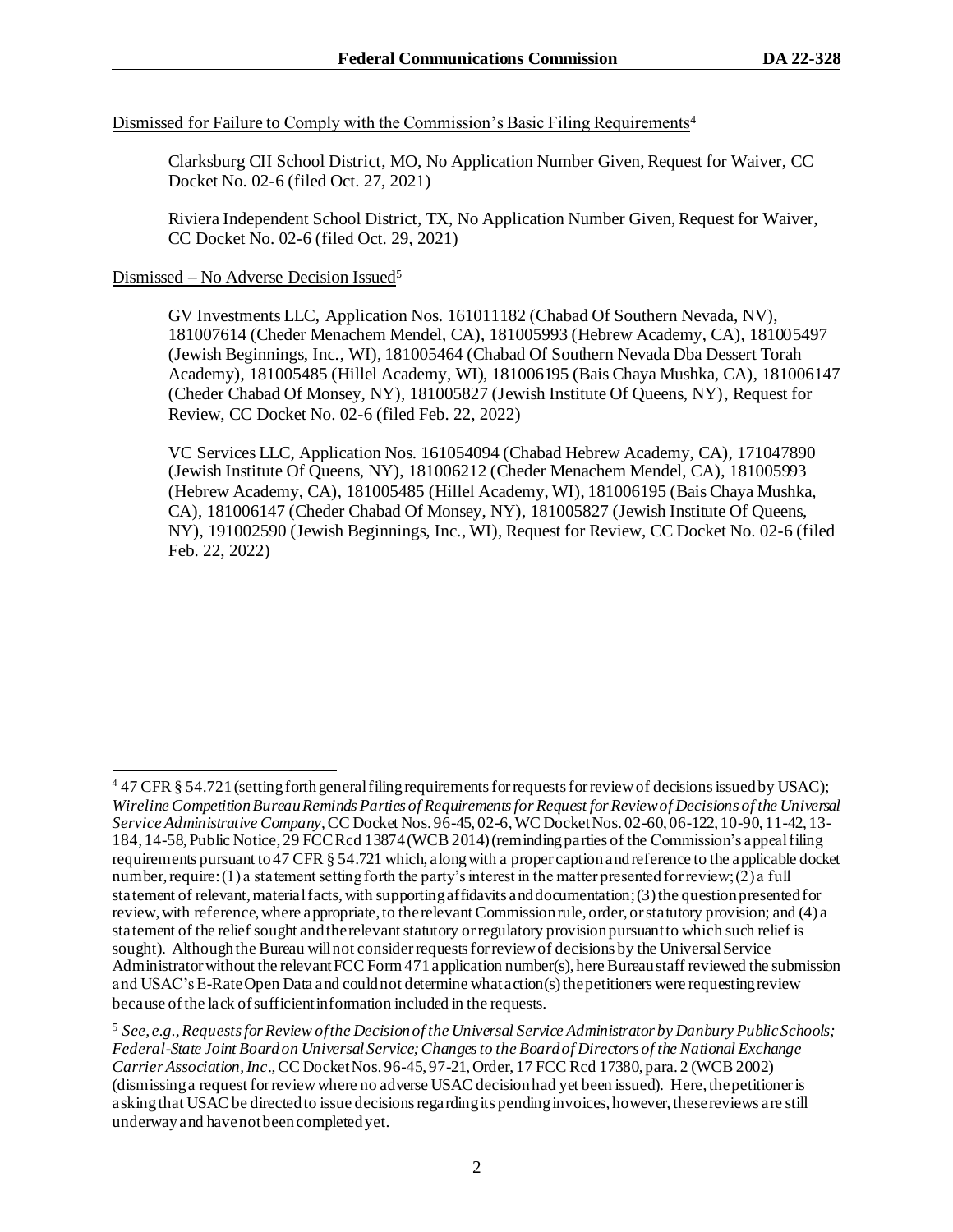## Dismissed for Failure to Comply with the Commission's Basic Filing Requirements<sup>4</sup>

Clarksburg CII School District, MO, No Application Number Given, Request for Waiver, CC Docket No. 02-6 (filed Oct. 27, 2021)

Riviera Independent School District, TX, No Application Number Given, Request for Waiver, CC Docket No. 02-6 (filed Oct. 29, 2021)

## Dismissed – No Adverse Decision Issued<sup>5</sup>

GV Investments LLC, Application Nos. 161011182 (Chabad Of Southern Nevada, NV), 181007614 (Cheder Menachem Mendel, CA), 181005993 (Hebrew Academy, CA), 181005497 (Jewish Beginnings, Inc., WI), 181005464 (Chabad Of Southern Nevada Dba Dessert Torah Academy), 181005485 (Hillel Academy, WI), 181006195 (Bais Chaya Mushka, CA), 181006147 (Cheder Chabad Of Monsey, NY), 181005827 (Jewish Institute Of Queens, NY), Request for Review, CC Docket No. 02-6 (filed Feb. 22, 2022)

VC Services LLC, Application Nos. 161054094 (Chabad Hebrew Academy, CA), 171047890 (Jewish Institute Of Queens, NY), 181006212 (Cheder Menachem Mendel, CA), 181005993 (Hebrew Academy, CA), 181005485 (Hillel Academy, WI), 181006195 (Bais Chaya Mushka, CA), 181006147 (Cheder Chabad Of Monsey, NY), 181005827 (Jewish Institute Of Queens, NY), 191002590 (Jewish Beginnings, Inc., WI), Request for Review, CC Docket No. 02-6 (filed Feb. 22, 2022)

<sup>&</sup>lt;sup>4</sup> 47 CFR § 54.721 (setting forth general filing requirements for requests for review of decisions issued by USAC); *Wireline Competition Bureau Reminds Parties of Requirements for Request for Review of Decisions of the Universal Service Administrative Company,* CC Docket Nos. 96-45, 02-6, WC Docket Nos. 02-60, 06-122, 10-90, 11-42, 13- 184, 14-58, Public Notice, 29 FCC Rcd 13874 (WCB 2014) (reminding parties of the Commission's appeal filing requirements pursuant to 47 CFR § 54.721 which, along with a proper caption and reference to the applicable docket number, require: (1) a statement setting forth the party's interest in the matter presented for review; (2) a full statement of relevant, material facts, with supporting affidavits and documentation; (3) the question presented for review, with reference, where appropriate, to the relevant Commission rule, order, or statutory provision; and (4) a statement of the relief sought and the relevant statutory or regulatory provision pursuant to which such relief is sought). Although the Bureau will not consider requests for review of decisions by the Universal Service Administrator without the relevant FCC Form 471 application number(s), here Bureau staff reviewed the submission and USAC's E-Rate Open Data and could not determine what action(s) the petitioners were requesting review because of the lack of sufficient information included in the requests.

<sup>5</sup> *See, e.g.*,*Requests for Review of the Decision of the Universal Service Administrator by Danbury Public Schools; Federal-State Joint Board on Universal Service; Changes to the Board of Directors of the National Exchange Carrier Association, Inc*.,CC Docket Nos. 96-45, 97-21,Order, 17 FCC Rcd 17380, para. 2 (WCB 2002) (dismissing a request for review where no adverse USAC decision had yet been issued). Here, the petitioner is asking that USAC be directed to issue decisions regarding its pending invoices, however, these reviews are still underway and have not been completed yet.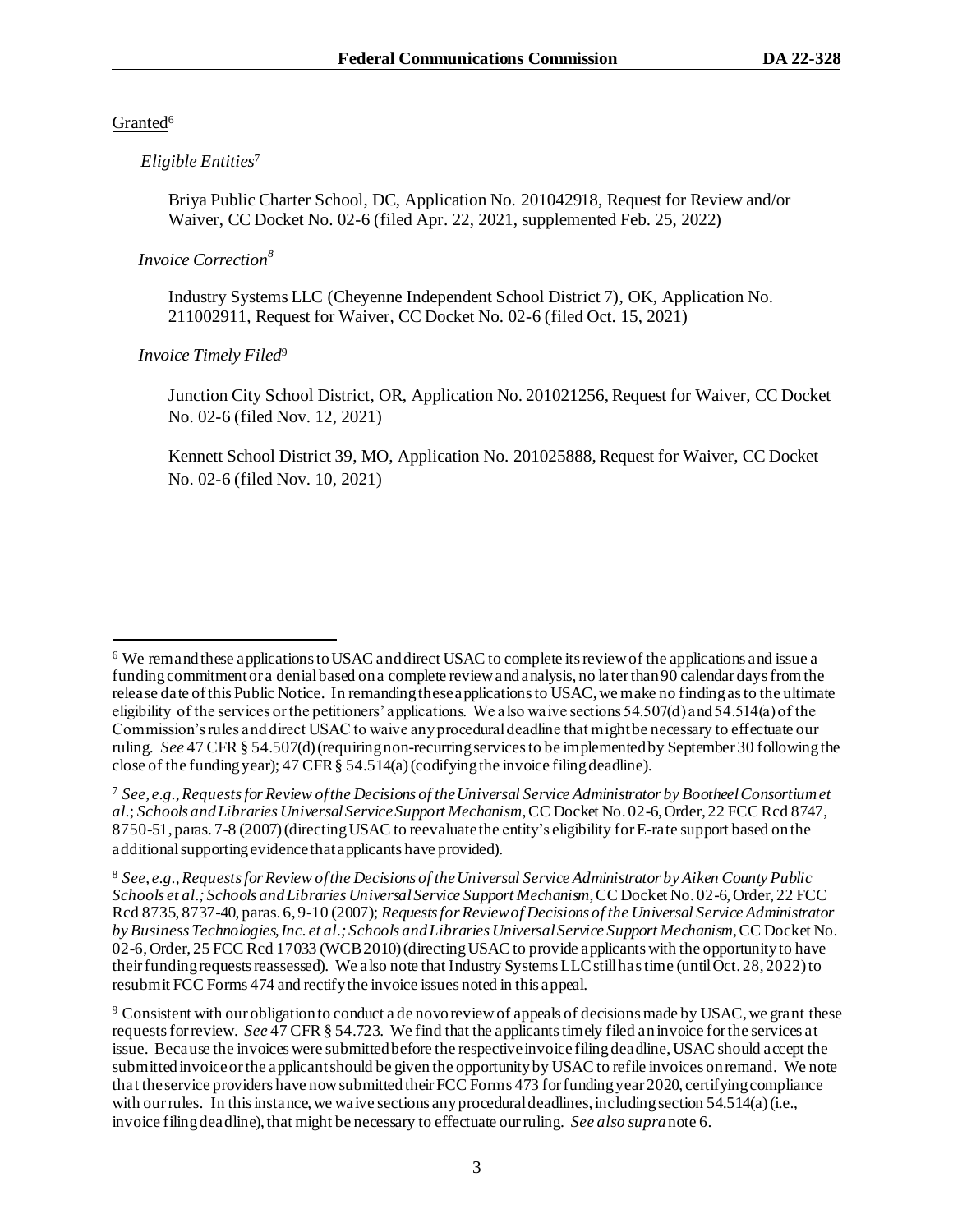### Granted<sup>6</sup>

#### *Eligible Entities*<sup>7</sup>

Briya Public Charter School, DC, Application No. 201042918, Request for Review and/or Waiver, CC Docket No. 02-6 (filed Apr. 22, 2021, supplemented Feb. 25, 2022)

#### *Invoice Correction<sup>8</sup>*

Industry Systems LLC (Cheyenne Independent School District 7), OK, Application No. 211002911, Request for Waiver, CC Docket No. 02-6 (filed Oct. 15, 2021)

## *Invoice Timely Filed*<sup>9</sup>

Junction City School District, OR, Application No. 201021256, Request for Waiver, CC Docket No. 02-6 (filed Nov. 12, 2021)

Kennett School District 39, MO, Application No. 201025888, Request for Waiver, CC Docket No. 02-6 (filed Nov. 10, 2021)

<sup>6</sup> We remand these applications to USAC and direct USAC to complete its review of the applications and issue a funding commitment or a denial based on a complete review and analysis, no later than 90 calendar days from the release date of this Public Notice. In remanding these applications to USAC, we make no finding as to the ultimate eligibility of the services or the petitioners' applications. We also waive sections 54.507(d) and 54.514(a) of the Commission's rules and direct USAC to waive any procedural deadline that might be necessary to effectuate our ruling. *See* 47 CFR § 54.507(d) (requiring non-recurring services to be implemented by September 30 following the close of the funding year); 47 CFR § 54.514(a) (codifying the invoice filing deadline).

<sup>7</sup> *See, e.g.*,*Requests for Review of the Decisions of the Universal Service Administrator by Bootheel Consortium et al.*; *Schools and Libraries Universal Service Support Mechanism*, CC Docket No. 02-6, Order, 22 FCC Rcd 8747, 8750-51, paras. 7-8 (2007) (directing USAC to reevaluate the entity's eligibility for E-rate support based on the additional supporting evidence that applicants have provided).

<sup>8</sup> *See, e.g.*,*Requests for Review of the Decisions of the Universal Service Administrator by Aiken County Public Schools et al.; Schools and Libraries Universal Service Support Mechanism*, CC Docket No. 02-6, Order, 22 FCC Rcd 8735, 8737-40, paras. 6, 9-10 (2007); *Requests for Review of Decisions of the Universal Service Administrator by Business Technologies, Inc. et al.; Schools and Libraries Universal Service Support Mechanism*, CC Docket No. 02-6, Order, 25 FCC Rcd 17033 (WCB 2010) (directing USAC to provide applicants with the opportunity to have their funding requests reassessed). We also note that Industry Systems LLCstill has time (until Oct. 28, 2022) to resubmit FCC Forms 474 and rectify the invoice issues noted in this appeal.

<sup>9</sup> Consistent with our obligation to conduct a de novo review of appeals of decisions made by USAC, we grant these requestsfor review. *See* 47 CFR § 54.723. We find that the applicants timely filed an invoice for the services at issue. Because the invoices were submitted before the respective invoice filing deadline, USAC should accept the submitted invoice or the applicant should be given the opportunity by USAC to refile invoices on remand. We note that the service providers have now submitted their FCC Forms 473 for funding year 2020, certifying compliance with our rules. In this instance, we waive sections any procedural deadlines, including section 54.514(a) (i.e., invoice filing deadline), that might be necessary to effectuate our ruling. *See also supra*note 6.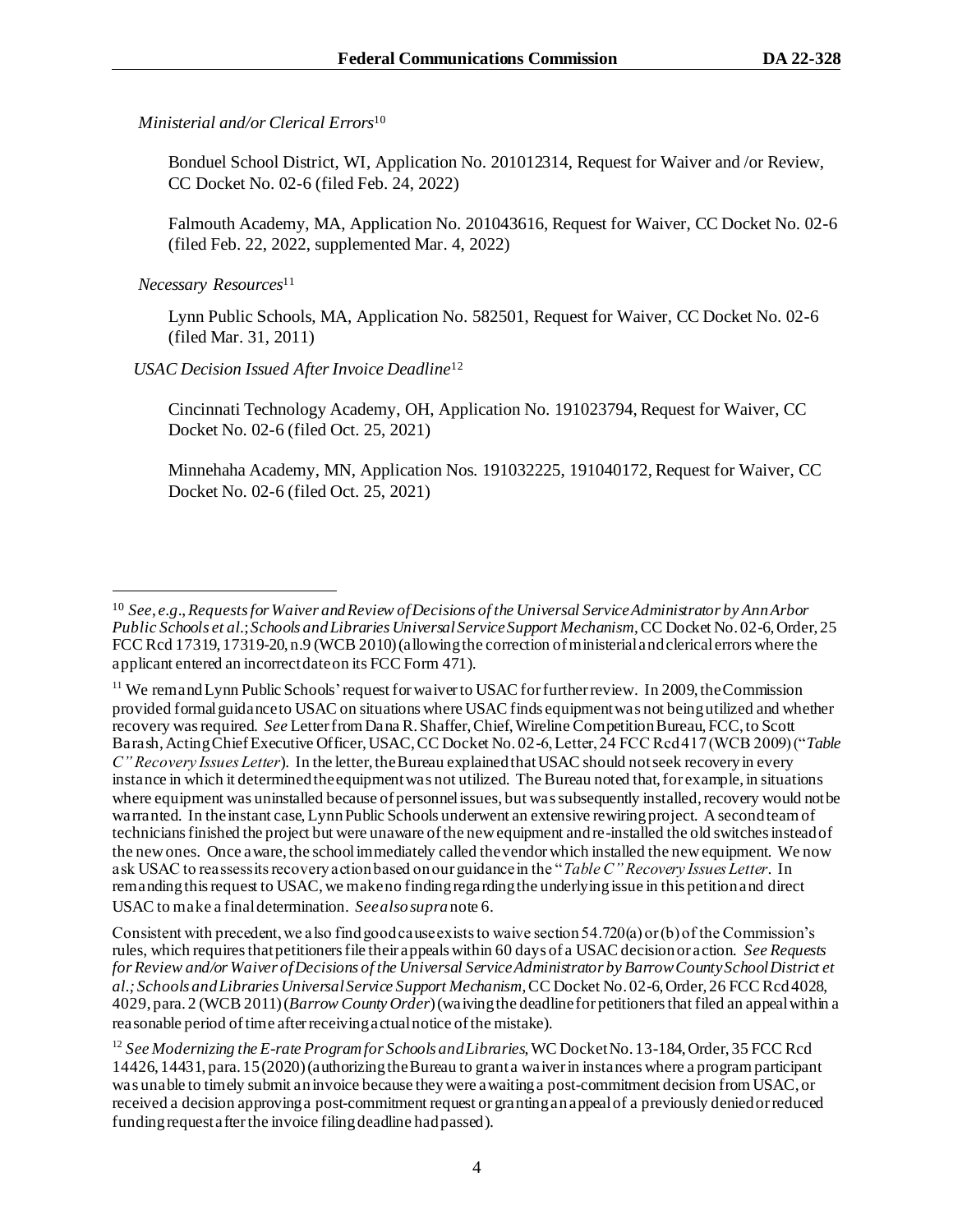## *Ministerial and/or Clerical Errors*<sup>10</sup>

Bonduel School District, WI, Application No. 201012314, Request for Waiver and /or Review, CC Docket No. 02-6 (filed Feb. 24, 2022)

Falmouth Academy, MA, Application No. 201043616, Request for Waiver, CC Docket No. 02-6 (filed Feb. 22, 2022, supplemented Mar. 4, 2022)

 *Necessary Resources*<sup>11</sup>

Lynn Public Schools, MA, Application No. 582501, Request for Waiver, CC Docket No. 02-6 (filed Mar. 31, 2011)

 *USAC Decision Issued After Invoice Deadline*<sup>12</sup>

Cincinnati Technology Academy, OH, Application No. 191023794, Request for Waiver, CC Docket No. 02-6 (filed Oct. 25, 2021)

Minnehaha Academy, MN, Application Nos. 191032225, 191040172, Request for Waiver, CC Docket No. 02-6 (filed Oct. 25, 2021)

Consistent with precedent, we also find good cause exists to waive section 54.720(a) or (b) of the Commission's rules, which requires that petitioners file their appeals within 60 days of a USAC decision or action. *See Requests*  for Review and/or Waiver of Decisions of the Universal Service Administrator by Barrow County School District et *al.; Schools and Libraries Universal Service Support Mechanism*, CC Docket No. 02-6, Order, 26 FCC Rcd 4028, 4029, para. 2 (WCB 2011) (*Barrow County Order*) (waiving the deadline for petitioners that filed an appeal within a reasonable period of time after receiving actual notice of the mistake).

<sup>10</sup> *See*, *e.g*., *Requests for Waiver and Review of Decisions of the Universal Service Administrator by Ann Arbor Public Schools et al.*;*Schools and Libraries Universal Service Support Mechanism*, CC Docket No. 02-6, Order, 25 FCC Rcd 17319, 17319-20, n.9 (WCB 2010) (allowing the correction of ministerial and clerical errors where the applicant entered an incorrect date on its FCC Form 471).

<sup>&</sup>lt;sup>11</sup> We remand Lynn Public Schools' request for waiver to USAC for further review. In 2009, the Commission provided formal guidance to USAC on situations where USAC finds equipment was not being utilized and whether recovery was required. *See* Letter from Dana R. Shaffer, Chief, Wireline Competition Bureau, FCC, to Scott Barash, Acting Chief Executive Officer, USAC, CC Docket No. 02-6, Letter, 24 FCC Rcd 417 (WCB 2009) ("*Table C" Recovery Issues Letter*). In the letter, the Bureau explained that USAC should not seek recovery in every instance in which it determined the equipment was not utilized. The Bureau noted that, for example, in situations where equipment was uninstalled because of personnel issues, but was subsequently installed, recovery would not be warranted. In the instant case, Lynn Public Schools underwent an extensive rewiring project. A second team of techniciansfinished the project but were unaware of the new equipment and re-installed the old switches instead of the new ones. Once aware, the school immediately called the vendor which installed the new equipment. We now ask USAC to reassess its recovery action based on our guidance in the "*Table C" Recovery Issues Letter*. In remanding this request to USAC, we make no finding regarding the underlying issue in this petition and direct USAC to make a final determination. *Seealsosupra*note 6.

<sup>&</sup>lt;sup>12</sup> See Modernizing the E-rate Program for Schools and Libraries, WC Docket No. 13-184, Order, 35 FCC Rcd 14426, 14431, para. 15 (2020) (authorizing the Bureau to grant a waiver in instances where a program participant was unable to timely submit an invoice because they were awaiting a post-commitment decision from USAC, or received a decision approving a post-commitment request or granting an appeal of a previously denied or reduced funding request after the invoice filing deadline had passed).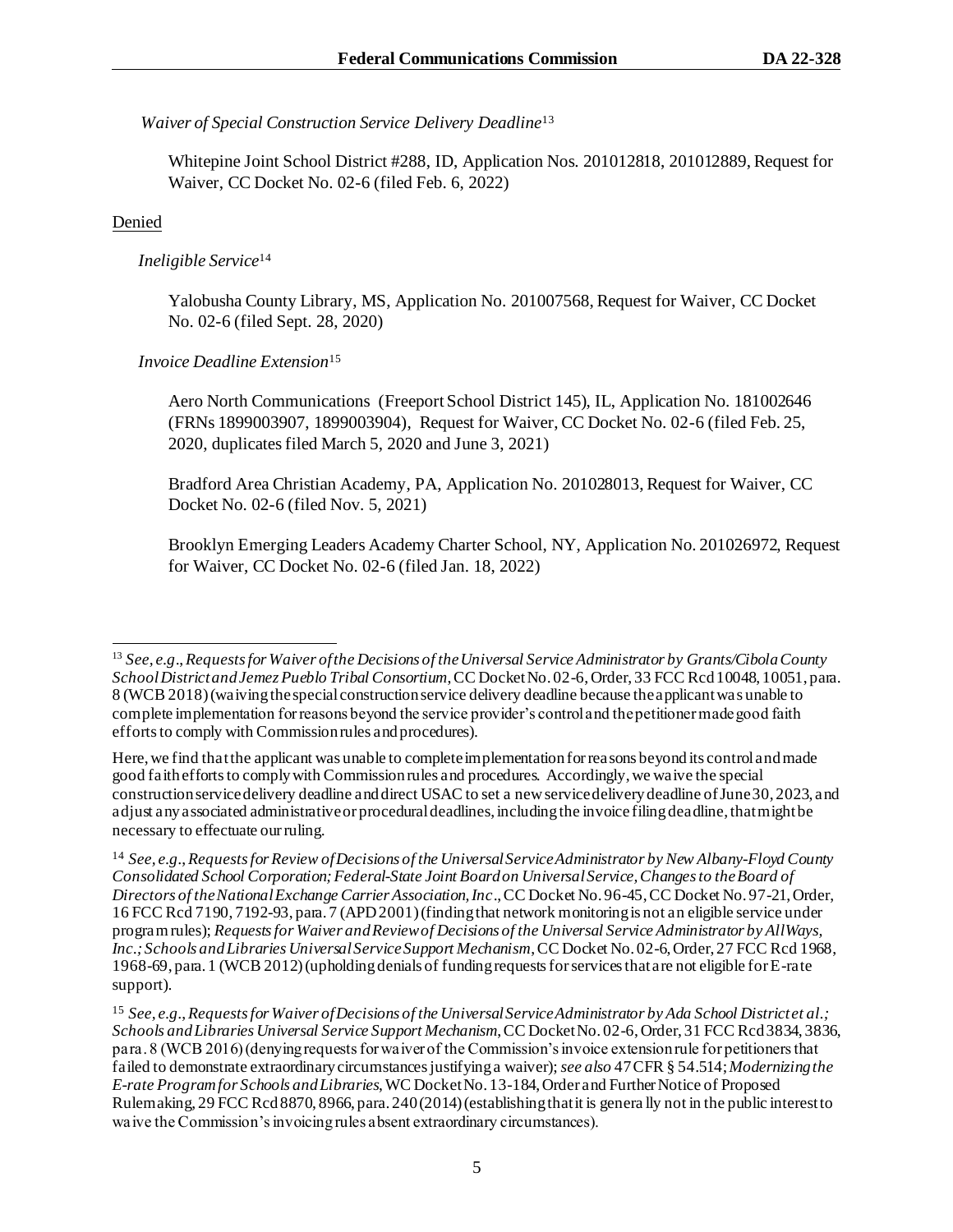## *Waiver of Special Construction Service Delivery Deadline*<sup>13</sup>

Whitepine Joint School District #288, ID, Application Nos. 201012818, 201012889, Request for Waiver, CC Docket No. 02-6 (filed Feb. 6, 2022)

# Denied

# *Ineligible Service*<sup>14</sup>

Yalobusha County Library, MS, Application No. 201007568, Request for Waiver, CC Docket No. 02-6 (filed Sept. 28, 2020)

# *Invoice Deadline Extension*<sup>15</sup>

Aero North Communications (Freeport School District 145), IL, Application No. 181002646 (FRNs 1899003907, 1899003904), Request for Waiver, CC Docket No. 02-6 (filed Feb. 25, 2020, duplicates filed March 5, 2020 and June 3, 2021)

Bradford Area Christian Academy, PA, Application No. 201028013, Request for Waiver, CC Docket No. 02-6 (filed Nov. 5, 2021)

Brooklyn Emerging Leaders Academy Charter School, NY, Application No. 201026972, Request for Waiver, CC Docket No. 02-6 (filed Jan. 18, 2022)

<sup>13</sup> *See, e.g*.,*Requests for Waiver of the Decisions of the Universal Service Administrator by Grants/Cibola County School District and Jemez Pueblo Tribal Consortium*, CC Docket No. 02-6, Order, 33 FCC Rcd 10048, 10051, para. 8 (WCB 2018) (waiving the special construction service delivery deadline because the applicant was unable to complete implementation for reasons beyond the service provider's control and the petitioner made good faith efforts to comply with Commission rules and procedures).

Here, we find that the applicant was unable to complete implementation for reasons beyond its control andmade good faith efforts to comply with Commission rules and procedures. Accordingly, we waive the special construction service delivery deadline and direct USAC to set a new service delivery deadline of June 30, 2023, and adjust any associated administrative or procedural deadlines, including the invoice filing deadline, that might be necessary to effectuate our ruling.

<sup>14</sup> *See, e.g.*,*Requests for Review of Decisions of the Universal Service Administrator by New Albany-Floyd County Consolidated School Corporation; Federal-State Joint Board on Universal Service, Changes to the Board of Directors of the National Exchange Carrier Association, Inc*., CC Docket No. 96-45, CC Docket No. 97-21, Order, 16 FCC Rcd 7190, 7192-93, para. 7 (APD 2001) (finding that network monitoring is not an eligible service under program rules); *Requests for Waiver and Review of Decisions of the Universal Service Administrator by AllWays, Inc.; Schools and Libraries Universal Service Support Mechanism*, CC Docket No. 02-6, Order, 27 FCC Rcd 1968, 1968-69, para. 1 (WCB 2012) (upholding denials of funding requests for services that are not eligible for E-rate support).

<sup>15</sup> *See, e.g.*,*Requests for Waiver of Decisions of the Universal Service Administrator by Ada School District et al.; Schools and Libraries Universal Service Support Mechanism*, CC Docket No. 02-6, Order, 31 FCC Rcd 3834, 3836, para. 8 (WCB 2016) (denying requests for waiver of the Commission's invoice extension rule for petitioners that failed to demonstrate extraordinary circumstances justifying a waiver); *see also* 47 CFR § 54.514; *Modernizing the E-rate Program for Schools and Libraries*, WC Docket No. 13-184, Order and Further Notice of Proposed Rulemaking, 29 FCC Rcd 8870, 8966, para. 240 (2014) (establishing that it is genera lly not in the public interest to waive the Commission's invoicing rules absent extraordinary circumstances).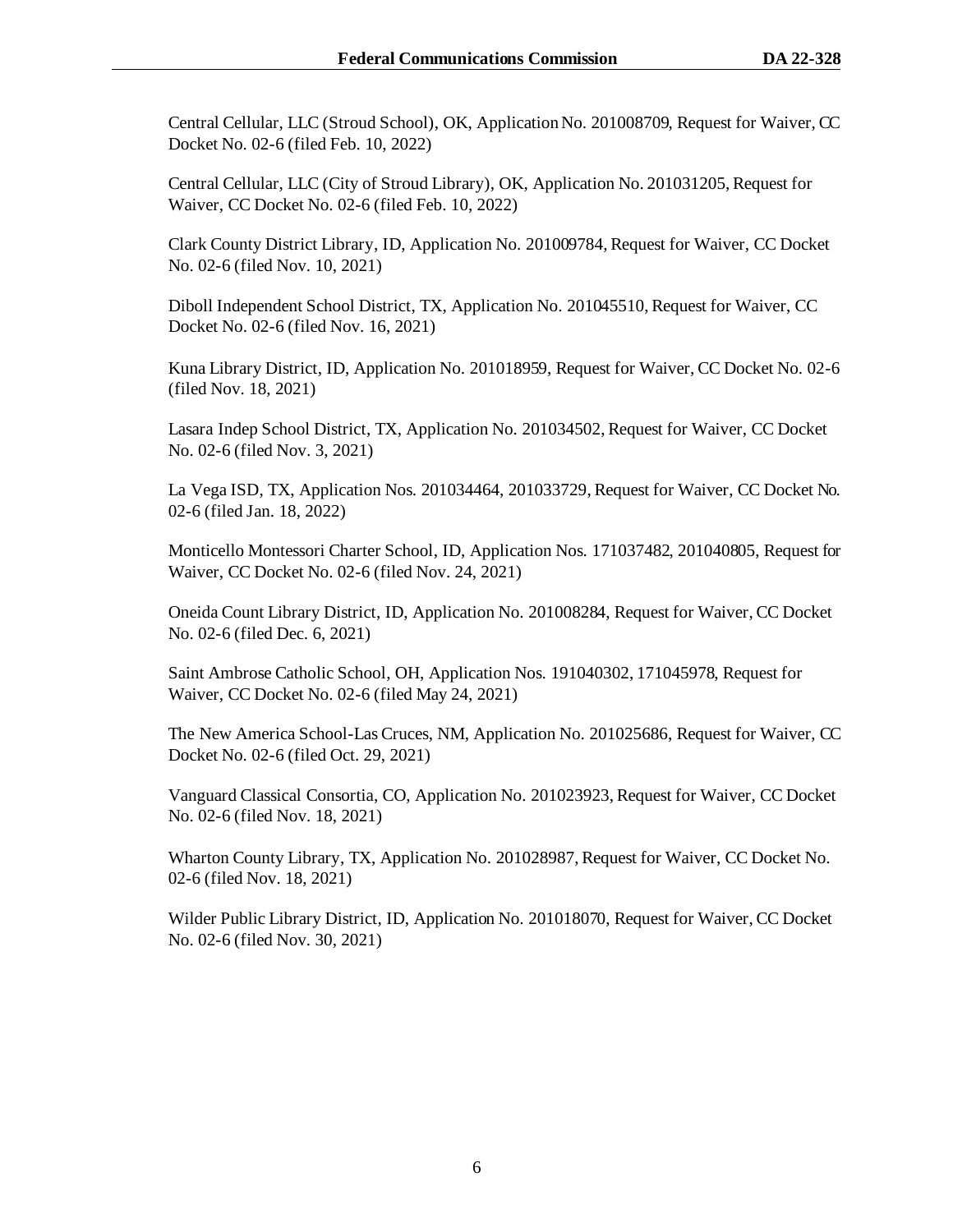Central Cellular, LLC (Stroud School), OK, Application No. 201008709, Request for Waiver, CC Docket No. 02-6 (filed Feb. 10, 2022)

Central Cellular, LLC (City of Stroud Library), OK, Application No. 201031205, Request for Waiver, CC Docket No. 02-6 (filed Feb. 10, 2022)

Clark County District Library, ID, Application No. 201009784, Request for Waiver, CC Docket No. 02-6 (filed Nov. 10, 2021)

Diboll Independent School District, TX, Application No. 201045510, Request for Waiver, CC Docket No. 02-6 (filed Nov. 16, 2021)

Kuna Library District, ID, Application No. 201018959, Request for Waiver, CC Docket No. 02-6 (filed Nov. 18, 2021)

Lasara Indep School District, TX, Application No. 201034502, Request for Waiver, CC Docket No. 02-6 (filed Nov. 3, 2021)

La Vega ISD, TX, Application Nos. 201034464, 201033729, Request for Waiver, CC Docket No. 02-6 (filed Jan. 18, 2022)

Monticello Montessori Charter School, ID, Application Nos. 171037482, 201040805, Request for Waiver, CC Docket No. 02-6 (filed Nov. 24, 2021)

Oneida Count Library District, ID, Application No. 201008284, Request for Waiver, CC Docket No. 02-6 (filed Dec. 6, 2021)

Saint Ambrose Catholic School, OH, Application Nos. 191040302, 171045978, Request for Waiver, CC Docket No. 02-6 (filed May 24, 2021)

The New America School-Las Cruces, NM, Application No. 201025686, Request for Waiver, CC Docket No. 02-6 (filed Oct. 29, 2021)

Vanguard Classical Consortia, CO, Application No. 201023923, Request for Waiver, CC Docket No. 02-6 (filed Nov. 18, 2021)

Wharton County Library, TX, Application No. 201028987, Request for Waiver, CC Docket No. 02-6 (filed Nov. 18, 2021)

Wilder Public Library District, ID, Application No. 201018070, Request for Waiver, CC Docket No. 02-6 (filed Nov. 30, 2021)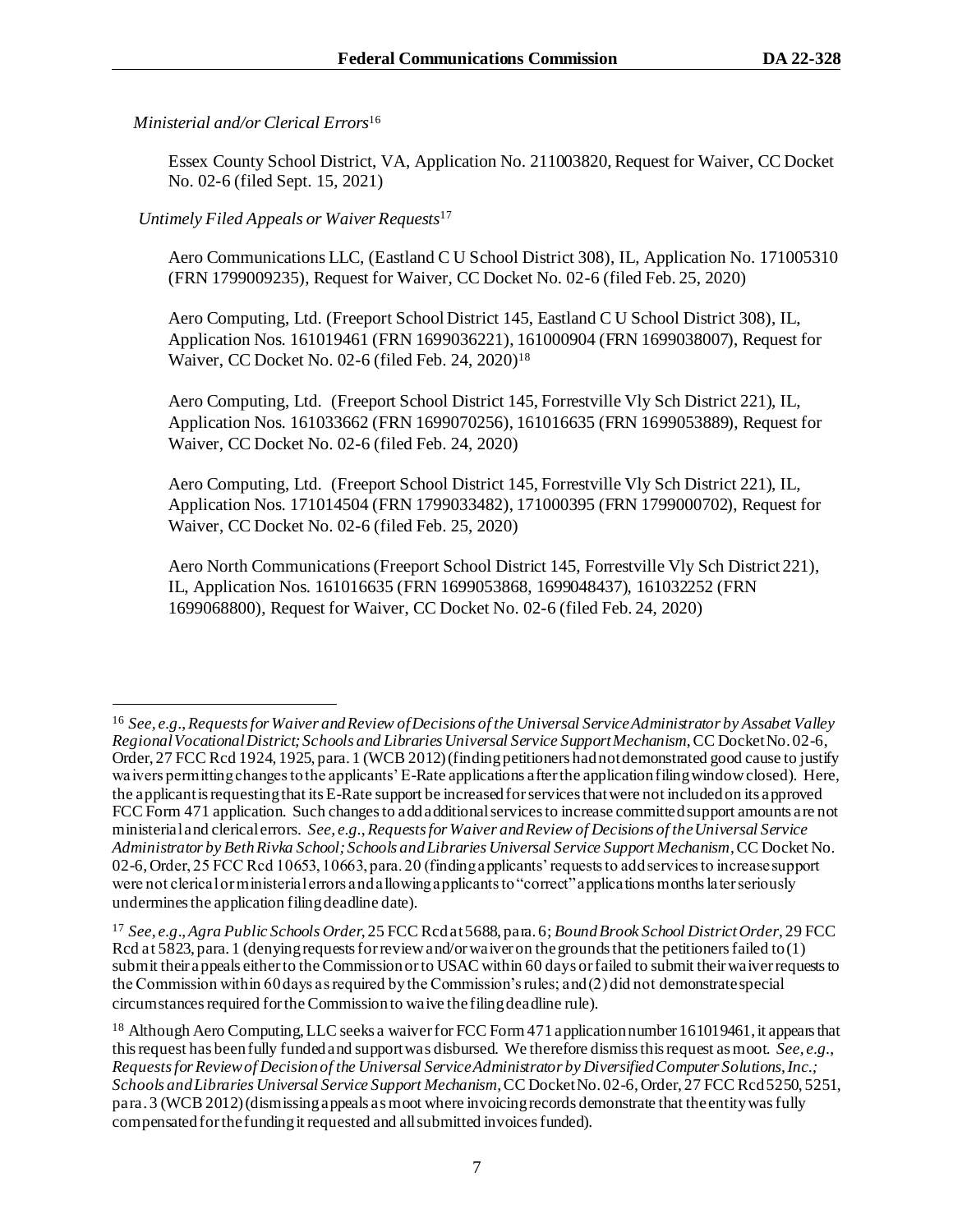# *Ministerial and/or Clerical Errors*<sup>16</sup>

Essex County School District, VA, Application No. 211003820, Request for Waiver, CC Docket No. 02-6 (filed Sept. 15, 2021)

# *Untimely Filed Appeals or Waiver Requests*<sup>17</sup>

Aero Communications LLC, (Eastland C U School District 308), IL, Application No. 171005310 (FRN 1799009235), Request for Waiver, CC Docket No. 02-6 (filed Feb. 25, 2020)

Aero Computing, Ltd. (Freeport School District 145, Eastland C U School District 308), IL, Application Nos. 161019461 (FRN 1699036221), 161000904 (FRN 1699038007), Request for Waiver, CC Docket No. 02-6 (filed Feb. 24, 2020) 18

Aero Computing, Ltd. (Freeport School District 145, Forrestville Vly Sch District 221), IL, Application Nos. 161033662 (FRN 1699070256), 161016635 (FRN 1699053889), Request for Waiver, CC Docket No. 02-6 (filed Feb. 24, 2020)

Aero Computing, Ltd. (Freeport School District 145, Forrestville Vly Sch District 221), IL, Application Nos. 171014504 (FRN 1799033482), 171000395 (FRN 1799000702), Request for Waiver, CC Docket No. 02-6 (filed Feb. 25, 2020)

Aero North Communications (Freeport School District 145, Forrestville Vly Sch District 221), IL, Application Nos. 161016635 (FRN 1699053868, 1699048437), 161032252 (FRN 1699068800), Request for Waiver, CC Docket No. 02-6 (filed Feb. 24, 2020)

<sup>16</sup> *See, e.g.*,*Requests for Waiver and Review of Decisions of the Universal Service Administrator by Assabet Valley Regional Vocational District; Schools and Libraries Universal Service Support Mechanism*, CC Docket No. 02-6, Order, 27 FCC Rcd 1924, 1925, para. 1 (WCB 2012) (finding petitioners had not demonstrated good cause to justify waivers permitting changes to the applicants' E-Rate applications after the application filing window closed). Here, the applicant is requesting that its E-Rate support be increased for services that were not included on its approved FCC Form 471 application. Such changes to add additional services to increase committed support amounts are not ministerial and clerical errors. *See, e.g.*,*Requests for Waiver and Review of Decisions of the Universal Service Administrator by Beth Rivka School; Schools and Libraries Universal Service Support Mechanism*, CC Docket No. 02-6, Order, 25 FCC Rcd 10653, 10663, para. 20 (finding applicants' requests to add services to increase support were not clerical or ministerial errors and allowing applicants to "correct" applications months later seriously undermines the application filing deadline date).

<sup>17</sup> *See, e.g*., *Agra Public Schools Order*, 25 FCC Rcd at 5688, para. 6; *Bound Brook School District Order*, 29 FCC Rcd at 5823, para. 1 (denying requests for review and/or waiver on the grounds that the petitioners failed to (1) submit their appeals either to the Commission or to USAC within 60 days or failed to submit their waiver requests to the Commission within 60 days as required by the Commission's rules; and (2) did not demonstratespecial circumstances required for the Commission to waive the filing deadline rule).

<sup>18</sup> Although Aero Computing, LLC seeks a waiver for FCC Form 471 application number 161019461, it appears that this request has been fully funded and support was disbursed. We therefore dismiss this request as moot. *See, e.g.*, *Requests for Review of Decision of the Universal Service Administrator by Diversified Computer Solutions, Inc.; Schools and Libraries Universal Service Support Mechanism*, CC Docket No. 02-6, Order, 27 FCC Rcd 5250, 5251, para. 3 (WCB 2012) (dismissing appeals as moot where invoicing records demonstrate that the entity was fully compensated for the funding it requested and all submitted invoices funded).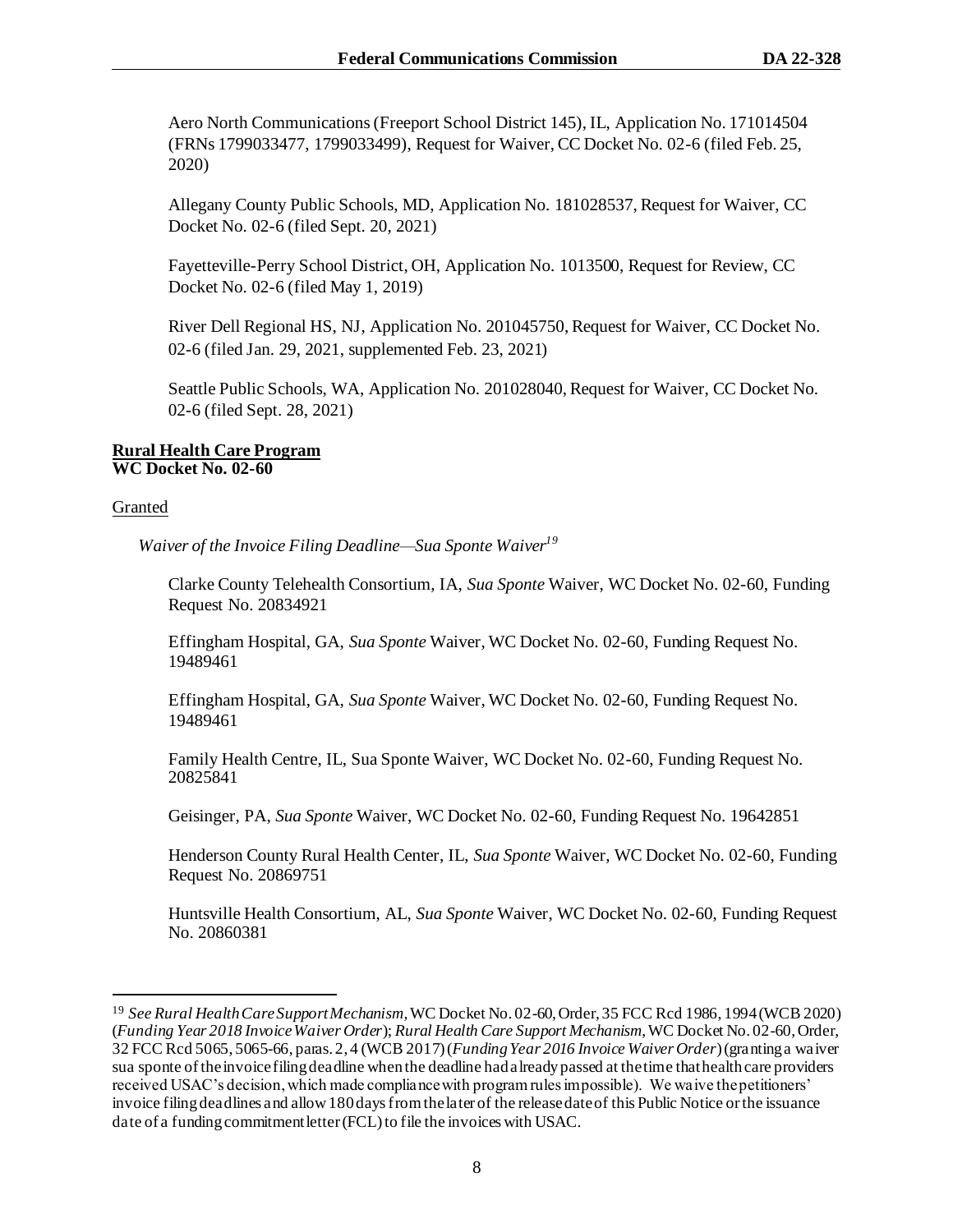Aero North Communications (Freeport School District 145), IL, Application No. 171014504 (FRNs 1799033477, 1799033499), Request for Waiver, CC Docket No. 02-6 (filed Feb. 25, 2020)

Allegany County Public Schools, MD, Application No. 181028537, Request for Waiver, CC Docket No. 02-6 (filed Sept. 20, 2021)

Fayetteville-Perry School District, OH, Application No. 1013500, Request for Review, CC Docket No. 02-6 (filed May 1, 2019)

River Dell Regional HS, NJ, Application No. 201045750, Request for Waiver, CC Docket No. 02-6 (filed Jan. 29, 2021, supplemented Feb. 23, 2021)

Seattle Public Schools, WA, Application No. 201028040, Request for Waiver, CC Docket No. 02-6 (filed Sept. 28, 2021)

#### **Rural Health Care Program WC Docket No. 02-60**

#### Granted

 *Waiver of the Invoice Filing Deadline—Sua Sponte Waiver<sup>19</sup>*

Clarke County Telehealth Consortium, IA, *Sua Sponte* Waiver, WC Docket No. 02-60, Funding Request No. 20834921

Effingham Hospital, GA, *Sua Sponte* Waiver, WC Docket No. 02-60, Funding Request No. 19489461

Effingham Hospital, GA, *Sua Sponte* Waiver, WC Docket No. 02-60, Funding Request No. 19489461

Family Health Centre, IL, Sua Sponte Waiver, WC Docket No. 02-60, Funding Request No. 20825841

Geisinger, PA, *Sua Sponte* Waiver, WC Docket No. 02-60, Funding Request No. 19642851

Henderson County Rural Health Center, IL, *Sua Sponte* Waiver, WC Docket No. 02-60, Funding Request No. 20869751

Huntsville Health Consortium, AL, *Sua Sponte* Waiver, WC Docket No. 02-60, Funding Request No. 20860381

<sup>19</sup> *See Rural Health Care Support Mechanism*, WC Docket No. 02-60, Order, 35 FCC Rcd 1986, 1994 (WCB 2020) (*Funding Year 2018 Invoice Waiver Order*); *Rural Health Care Support Mechanism*, WC Docket No. 02-60, Order, 32 FCC Rcd 5065, 5065-66, paras. 2, 4 (WCB 2017) (*Funding Year 2016 Invoice Waiver Order*) (granting a waiver sua sponte of the invoice filing deadline when the deadline had already passed at the time that health care providers received USAC's decision, which made compliance with program rules impossible). We waive the petitioners' invoice filing deadlines and allow 180 days from the later of the release date of this Public Notice or the issuance date of a funding commitment letter (FCL) to file the invoices with USAC.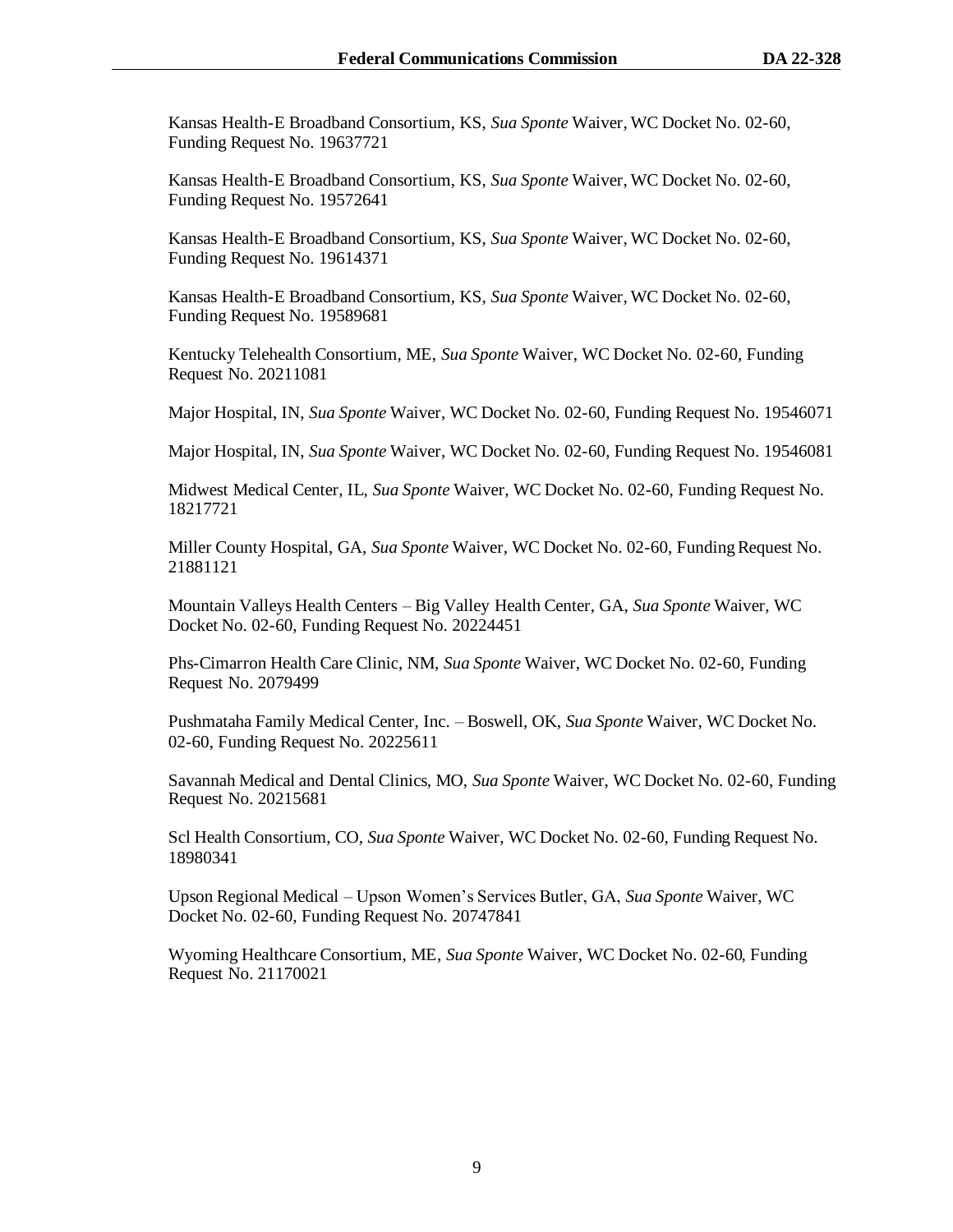Kansas Health-E Broadband Consortium, KS, *Sua Sponte* Waiver, WC Docket No. 02-60, Funding Request No. 19637721

Kansas Health-E Broadband Consortium, KS, *Sua Sponte* Waiver, WC Docket No. 02-60, Funding Request No. 19572641

Kansas Health-E Broadband Consortium, KS, *Sua Sponte* Waiver, WC Docket No. 02-60, Funding Request No. 19614371

Kansas Health-E Broadband Consortium, KS, *Sua Sponte* Waiver, WC Docket No. 02-60, Funding Request No. 19589681

Kentucky Telehealth Consortium, ME, *Sua Sponte* Waiver, WC Docket No. 02-60, Funding Request No. 20211081

Major Hospital, IN, *Sua Sponte* Waiver, WC Docket No. 02-60, Funding Request No. 19546071

Major Hospital, IN, *Sua Sponte* Waiver, WC Docket No. 02-60, Funding Request No. 19546081

Midwest Medical Center, IL, *Sua Sponte* Waiver, WC Docket No. 02-60, Funding Request No. 18217721

Miller County Hospital, GA, *Sua Sponte* Waiver, WC Docket No. 02-60, Funding Request No. 21881121

Mountain Valleys Health Centers – Big Valley Health Center, GA, *Sua Sponte* Waiver, WC Docket No. 02-60, Funding Request No. 20224451

Phs-Cimarron Health Care Clinic, NM, *Sua Sponte* Waiver, WC Docket No. 02-60, Funding Request No. 2079499

Pushmataha Family Medical Center, Inc. – Boswell, OK, *Sua Sponte* Waiver, WC Docket No. 02-60, Funding Request No. 20225611

Savannah Medical and Dental Clinics, MO, *Sua Sponte* Waiver, WC Docket No. 02-60, Funding Request No. 20215681

Scl Health Consortium, CO, *Sua Sponte* Waiver, WC Docket No. 02-60, Funding Request No. 18980341

Upson Regional Medical – Upson Women's Services Butler, GA, *Sua Sponte* Waiver, WC Docket No. 02-60, Funding Request No. 20747841

Wyoming Healthcare Consortium, ME, *Sua Sponte* Waiver, WC Docket No. 02-60, Funding Request No. 21170021